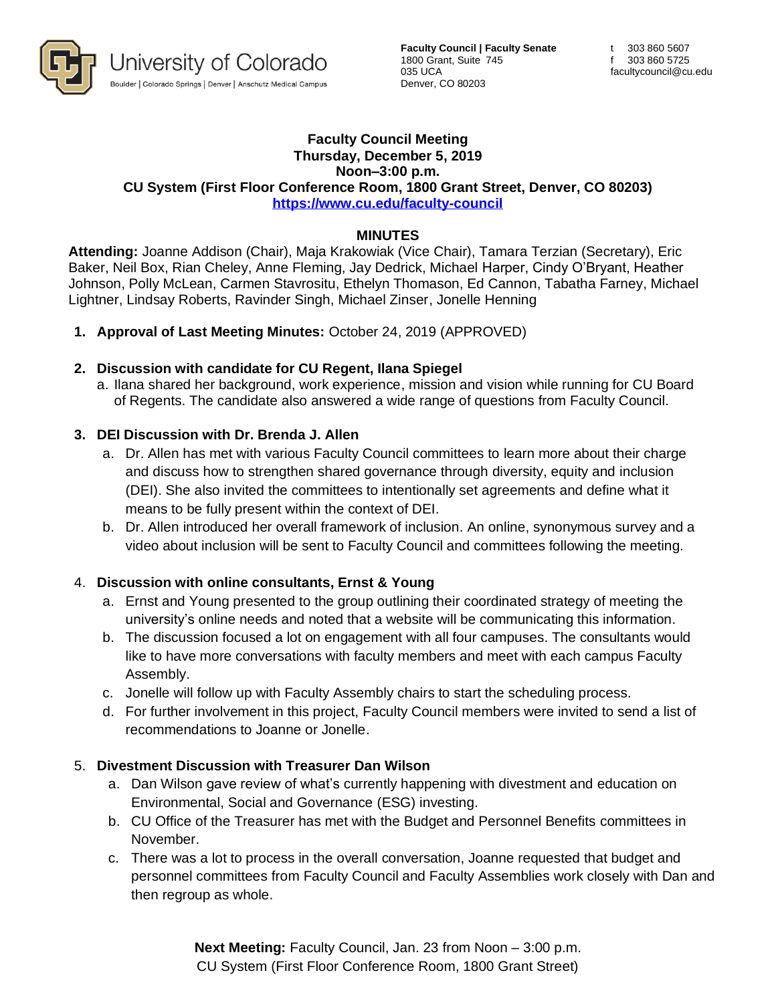

**Faculty Council | Faculty Senate** 1800 Grant, Suite 745 035 UCA Denver, CO 80203

#### **Faculty Council Meeting Thursday, December 5, 2019 Noon–3:00 p.m. CU System (First Floor Conference Room, 1800 Grant Street, Denver, CO 80203) <https://www.cu.edu/faculty-council>**

#### **MINUTES**

**Attending:** Joanne Addison (Chair), Maja Krakowiak (Vice Chair), Tamara Terzian (Secretary), Eric Baker, Neil Box, Rian Cheley, Anne Fleming, Jay Dedrick, Michael Harper, Cindy O'Bryant, Heather Johnson, Polly McLean, Carmen Stavrositu, Ethelyn Thomason, Ed Cannon, Tabatha Farney, Michael Lightner, Lindsay Roberts, Ravinder Singh, Michael Zinser, Jonelle Henning

**1. Approval of Last Meeting Minutes:** October 24, 2019 (APPROVED)

#### **2. Discussion with candidate for CU Regent, Ilana Spiegel**

a. Ilana shared her background, work experience, mission and vision while running for CU Board of Regents. The candidate also answered a wide range of questions from Faculty Council.

#### **3. DEI Discussion with Dr. Brenda J. Allen**

- a. Dr. Allen has met with various Faculty Council committees to learn more about their charge and discuss how to strengthen shared governance through diversity, equity and inclusion (DEI). She also invited the committees to intentionally set agreements and define what it means to be fully present within the context of DEI.
- b. Dr. Allen introduced her overall framework of inclusion. An online, synonymous survey and a video about inclusion will be sent to Faculty Council and committees following the meeting.

### 4. **Discussion with online consultants, Ernst & Young**

- a. Ernst and Young presented to the group outlining their coordinated strategy of meeting the university's online needs and noted that a website will be communicating this information.
- b. The discussion focused a lot on engagement with all four campuses. The consultants would like to have more conversations with faculty members and meet with each campus Faculty Assembly.
- c. Jonelle will follow up with Faculty Assembly chairs to start the scheduling process.
- d. For further involvement in this project, Faculty Council members were invited to send a list of recommendations to Joanne or Jonelle.

#### 5. **Divestment Discussion with Treasurer Dan Wilson**

- a. Dan Wilson gave review of what's currently happening with divestment and education on Environmental, Social and Governance (ESG) investing.
- b. CU Office of the Treasurer has met with the Budget and Personnel Benefits committees in November.
- c. There was a lot to process in the overall conversation, Joanne requested that budget and personnel committees from Faculty Council and Faculty Assemblies work closely with Dan and then regroup as whole.

**Next Meeting:** Faculty Council, Jan. 23 from Noon – 3:00 p.m. CU System (First Floor Conference Room, 1800 Grant Street)